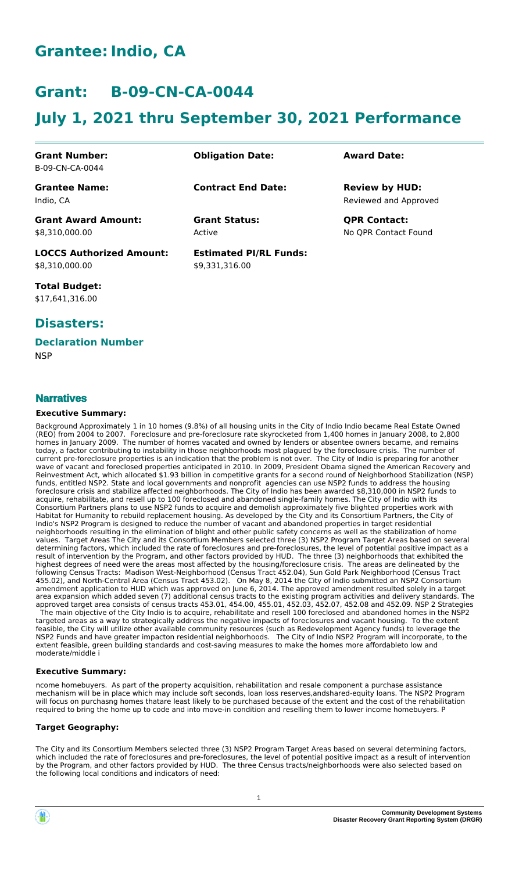## **Grantee:Indio, CA**

## **Grant: B-09-CN-CA-0044**

# **July 1, 2021 thru September 30, 2021 Performance**

| <b>Grant Number:</b>            | <b>Obligation Date:</b>       | <b>Award Date:</b>    |
|---------------------------------|-------------------------------|-----------------------|
| B-09-CN-CA-0044                 |                               |                       |
| <b>Grantee Name:</b>            | <b>Contract End Date:</b>     | <b>Review by HUD:</b> |
| Indio. CA                       |                               | Reviewed and Approved |
| <b>Grant Award Amount:</b>      | <b>Grant Status:</b>          | <b>QPR Contact:</b>   |
| \$8,310,000.00                  | Active                        | No OPR Contact Found  |
| <b>LOCCS Authorized Amount:</b> | <b>Estimated PI/RL Funds:</b> |                       |
| \$8,310,000.00                  | \$9,331,316.00                |                       |

**Total Budget:** \$17,641,316.00

### **Disasters:**

#### **Declaration Number**

**NSP** 

#### **Narratives**

#### **Executive Summary:**

Background Approximately 1 in 10 homes (9.8%) of all housing units in the City of Indio Indio became Real Estate Owned (REO) from 2004 to 2007. Foreclosure and pre-foreclosure rate skyrocketed from 1,400 homes in January 2008, to 2,800 homes in January 2009. The number of homes vacated and owned by lenders or absentee owners became, and remains today, a factor contributing to instability in those neighborhoods most plagued by the foreclosure crisis. The number of current pre-foreclosure properties is an indication that the problem is not over. The City of Indio is preparing for another wave of vacant and foreclosed properties anticipated in 2010. In 2009, President Obama signed the American Recovery and Reinvestment Act, which allocated \$1.93 billion in competitive grants for a second round of Neighborhood Stabilization (NSP) funds, entitled NSP2. State and local governments and nonprofit agencies can use NSP2 funds to address the housing foreclosure crisis and stabilize affected neighborhoods. The City of Indio has been awarded \$8,310,000 in NSP2 funds to acquire, rehabilitate, and resell up to 100 foreclosed and abandoned single-family homes. The City of Indio with its Consortium Partners plans to use NSP2 funds to acquire and demolish approximately five blighted properties work with Habitat for Humanity to rebuild replacement housing. As developed by the City and its Consortium Partners, the City of Indio's NSP2 Program is designed to reduce the number of vacant and abandoned properties in target residential neighborhoods resulting in the elimination of blight and other public safety concerns as well as the stabilization of home values. Target Areas The City and its Consortium Members selected three (3) NSP2 Program Target Areas based on several determining factors, which included the rate of foreclosures and pre-foreclosures, the level of potential positive impact as a result of intervention by the Program, and other factors provided by HUD. The three (3) neighborhoods that exhibited the highest degrees of need were the areas most affected by the housing/foreclosure crisis. The areas are delineated by the following Census Tracts: Madison West-Neighborhood (Census Tract 452.04), Sun Gold Park Neighborhood (Census Tract 455.02), and North-Central Area (Census Tract 453.02). On May 8, 2014 the City of Indio submitted an NSP2 Consortium amendment application to HUD which was approved on June 6, 2014. The approved amendment resulted solely in a target area expansion which added seven (7) additional census tracts to the existing program activities and delivery standards. The approved target area consists of census tracts 453.01, 454.00, 455.01, 452.03, 452.07, 452.08 and 452.09. NSP 2 Strategies

 The main objective of the City Indio is to acquire, rehabilitate and resell 100 foreclosed and abandoned homes in the NSP2 targeted areas as a way to strategically address the negative impacts of foreclosures and vacant housing. To the extent feasible, the City will utilize other available community resources (such as Redevelopment Agency funds) to leverage the NSP2 Funds and have greater impacton residential neighborhoods. The City of Indio NSP2 Program will incorporate, to the extent feasible, green building standards and cost-saving measures to make the homes more affordableto low and moderate/middle i

#### **Executive Summary:**

ncome homebuyers. As part of the property acquisition, rehabilitation and resale component a purchase assistance mechanism will be in place which may include soft seconds, loan loss reserves,andshared-equity loans. The NSP2 Program will focus on purchasng homes thatare least likely to be purchased because of the extent and the cost of the rehabilitation required to bring the home up to code and into move-in condition and reselling them to lower income homebuyers. P

#### **Target Geography:**

The City and its Consortium Members selected three (3) NSP2 Program Target Areas based on several determining factors, which included the rate of foreclosures and pre-foreclosures, the level of potential positive impact as a result of intervention by the Program, and other factors provided by HUD. The three Census tracts/neighborhoods were also selected based on the following local conditions and indicators of need:

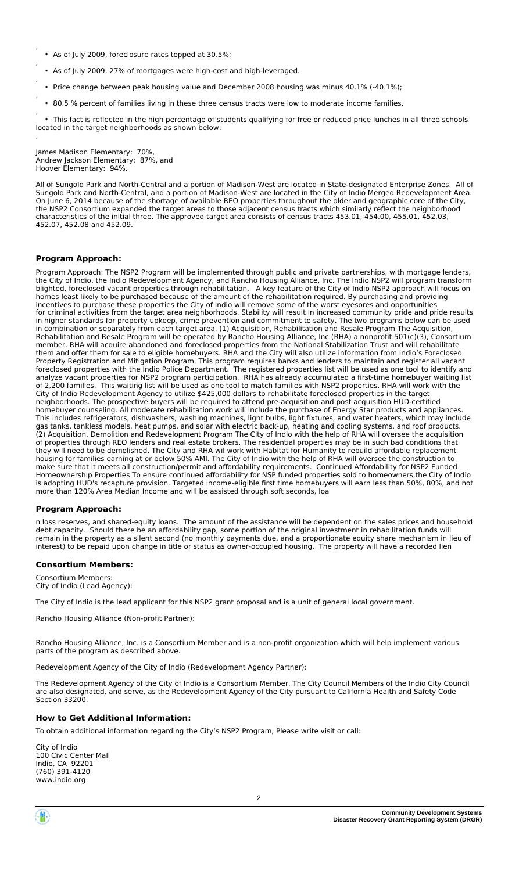- As of July 2009, foreclosure rates topped at 30.5%;
- As of July 2009, 27% of mortgages were high-cost and high-leveraged.
- , • Price change between peak housing value and December 2008 housing was minus 40.1% (-40.1%);
- , • 80.5 % percent of families living in these three census tracts were low to moderate income families.

, • This fact is reflected in the high percentage of students qualifying for free or reduced price lunches in all three schools located in the target neighborhoods as shown below:

James Madison Elementary: 70%, Andrew Jackson Elementary: 87%, and Hoover Elementary: 94%.

All of Sungold Park and North-Central and a portion of Madison-West are located in State-designated Enterprise Zones. All of Sungold Park and North-Central, and a portion of Madison-West are located in the City of Indio Merged Redevelopment Area. On June 6, 2014 because of the shortage of available REO properties throughout the older and geographic core of the City, the NSP2 Consortium expanded the target areas to those adjacent census tracts which similarly reflect the neighborhood characteristics of the initial three. The approved target area consists of census tracts 453.01, 454.00, 455.01, 452.03, 452.07, 452.08 and 452.09.

#### **Program Approach:**

,

,

,

Program Approach: The NSP2 Program will be implemented through public and private partnerships, with mortgage lenders, the City of Indio, the Indio Redevelopment Agency, and Rancho Housing Alliance, Inc. The Indio NSP2 will program transform blighted, foreclosed vacant properties through rehabilitation. A key feature of the City of Indio NSP2 approach will focus on homes least likely to be purchased because of the amount of the rehabilitation required. By purchasing and providing incentives to purchase these properties the City of Indio will remove some of the worst eyesores and opportunities for criminal activities from the target area neighborhoods. Stability will result in increased community pride and pride results in higher standards for property upkeep, crime prevention and commitment to safety. The two programs below can be used in combination or separately from each target area. (1) Acquisition, Rehabilitation and Resale Program The Acquisition, Rehabilitation and Resale Program will be operated by Rancho Housing Alliance, Inc (RHA) a nonprofit 501(c)(3), Consortium member. RHA will acquire abandoned and foreclosed properties from the National Stabilization Trust and will rehabilitate them and offer them for sale to eligible homebuyers. RHA and the City will also utilize information from Indio's Foreclosed Property Registration and Mitigation Program. This program requires banks and lenders to maintain and register all vacant foreclosed properties with the Indio Police Department. The registered properties list will be used as one tool to identify and analyze vacant properties for NSP2 program participation. RHA has already accumulated a first-time homebuyer waiting list of 2,200 families. This waiting list will be used as one tool to match families with NSP2 properties. RHA will work with the City of Indio Redevelopment Agency to utilize \$425,000 dollars to rehabilitate foreclosed properties in the target neighborhoods. The prospective buyers will be required to attend pre-acquisition and post acquisition HUD-certified homebuyer counseling. All moderate rehabilitation work will include the purchase of Energy Star products and appliances. This includes refrigerators, dishwashers, washing machines, light bulbs, light fixtures, and water heaters, which may include gas tanks, tankless models, heat pumps, and solar with electric back-up, heating and cooling systems, and roof products. (2) Acquisition, Demolition and Redevelopment Program The City of Indio with the help of RHA will oversee the acquisition of properties through REO lenders and real estate brokers. The residential properties may be in such bad conditions that they will need to be demolished. The City and RHA wil work with Habitat for Humanity to rebuild affordable replacement housing for families earning at or below 50% AMI. The City of Indio with the help of RHA will oversee the construction to make sure that it meets all construction/permit and affordability requirements. Continued Affordability for NSP2 Funded Homeownership Properties To ensure continued affordability for NSP funded properties sold to homeowners,the City of Indio is adopting HUD's recapture provision. Targeted income-eligible first time homebuyers will earn less than 50%, 80%, and not more than 120% Area Median Income and will be assisted through soft seconds, loa

#### **Program Approach:**

n loss reserves, and shared-equity loans. The amount of the assistance will be dependent on the sales prices and household debt capacity. Should there be an affordability gap, some portion of the original investment in rehabilitation funds will remain in the property as a silent second (no monthly payments due, and a proportionate equity share mechanism in lieu of interest) to be repaid upon change in title or status as owner-occupied housing. The property will have a recorded lien

#### **Consortium Members:**

Consortium Members: City of Indio (Lead Agency):

The City of Indio is the lead applicant for this NSP2 grant proposal and is a unit of general local government.

Rancho Housing Alliance (Non-profit Partner):

Rancho Housing Alliance, Inc. is a Consortium Member and is a non-profit organization which will help implement various parts of the program as described above.

Redevelopment Agency of the City of Indio (Redevelopment Agency Partner):

The Redevelopment Agency of the City of Indio is a Consortium Member. The City Council Members of the Indio City Council are also designated, and serve, as the Redevelopment Agency of the City pursuant to California Health and Safety Code Section 33200.

#### **How to Get Additional Information:**

To obtain additional information regarding the City's NSP2 Program, Please write visit or call:

City of Indio 100 Civic Center Mall Indio, CA 92201 (760) 391-4120 www.indio.org

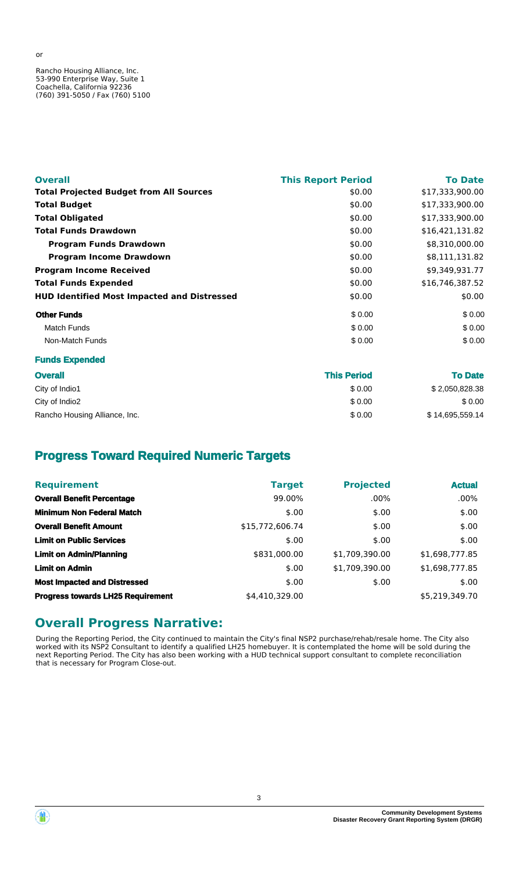Rancho Housing Alliance, Inc. 53-990 Enterprise Way, Suite 1 Coachella, California 92236 (760) 391-5050 / Fax (760) 5100

**Funds Expended**

| <b>Overall</b>                                     | <b>This Report Period</b> | <b>To Date</b>  |
|----------------------------------------------------|---------------------------|-----------------|
| <b>Total Projected Budget from All Sources</b>     | \$0.00                    | \$17,333,900.00 |
| <b>Total Budget</b>                                | \$0.00                    | \$17,333,900.00 |
| <b>Total Obligated</b>                             | \$0.00                    | \$17,333,900.00 |
| <b>Total Funds Drawdown</b>                        | \$0.00                    | \$16,421,131.82 |
| <b>Program Funds Drawdown</b>                      | \$0.00                    | \$8,310,000.00  |
| <b>Program Income Drawdown</b>                     | \$0.00                    | \$8,111,131.82  |
| <b>Program Income Received</b>                     | \$0.00                    | \$9,349,931.77  |
| <b>Total Funds Expended</b>                        | \$0.00                    | \$16,746,387.52 |
| <b>HUD Identified Most Impacted and Distressed</b> | \$0.00                    | \$0.00          |
| <b>Other Funds</b>                                 | \$0.00                    | \$0.00          |
| <b>Match Funds</b>                                 | \$0.00                    | \$0.00          |
| Non-Match Funds                                    | \$0.00                    | \$0.00          |

| <b>Overall</b>                | <b>This Period</b> | <b>To Date</b>  |  |
|-------------------------------|--------------------|-----------------|--|
| City of Indio1                | \$0.00             | \$2,050,828.38  |  |
| City of Indio2                | \$0.00             | \$0.00          |  |
| Rancho Housing Alliance, Inc. | \$0.00             | \$14,695,559.14 |  |

## **Progress Toward Required Numeric Targets**

| <b>Requirement</b>                       | <b>Target</b>   | <b>Projected</b> | <b>Actual</b>  |
|------------------------------------------|-----------------|------------------|----------------|
| <b>Overall Benefit Percentage</b>        | 99.00%          | $.00\%$          | $.00\%$        |
| <b>Minimum Non Federal Match</b>         | \$.00           | \$.00            | \$.00          |
| <b>Overall Benefit Amount</b>            | \$15,772,606.74 | \$.00            | \$.00          |
| <b>Limit on Public Services</b>          | \$.00           | \$.00            | \$.00          |
| <b>Limit on Admin/Planning</b>           | \$831,000.00    | \$1,709,390.00   | \$1,698,777.85 |
| <b>Limit on Admin</b>                    | \$.00           | \$1,709,390.00   | \$1,698,777.85 |
| <b>Most Impacted and Distressed</b>      | \$.00           | \$.00            | \$.00          |
| <b>Progress towards LH25 Requirement</b> | \$4,410,329.00  |                  | \$5,219,349.70 |

## **Overall Progress Narrative:**

During the Reporting Period, the City continued to maintain the City's final NSP2 purchase/rehab/resale home. The City also worked with its NSP2 Consultant to identify a qualified LH25 homebuyer. It is contemplated the home will be sold during the next Reporting Period. The City has also been working with a HUD technical support consultant to complete reconciliation that is necessary for Program Close-out.



or